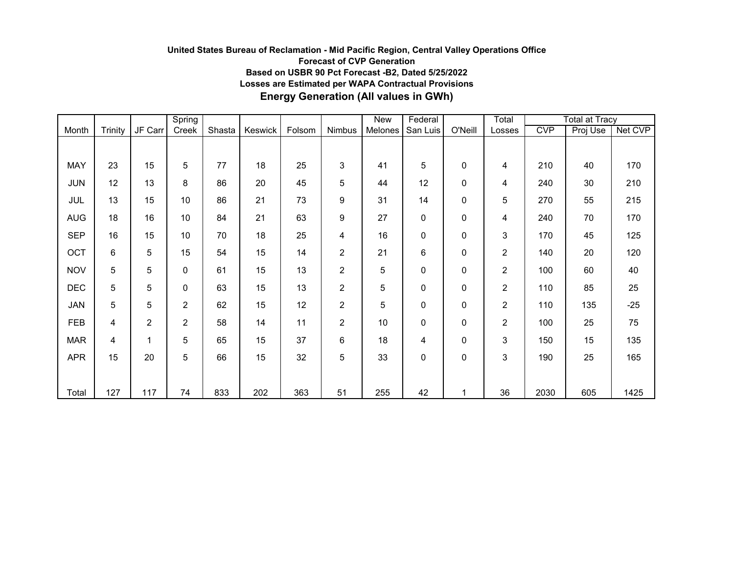## **United States Bureau of Reclamation - Mid Pacific Region, Central Valley Operations Office Forecast of CVP Generation Based on USBR 90 Pct Forecast -B2, Dated 5/25/2022 Losses are Estimated per WAPA Contractual Provisions Energy Generation (All values in GWh)**

|            |         |                | Spring         |        |         |        |                 | New     | Federal     |              | Total          |            | <b>Total at Tracy</b> |         |
|------------|---------|----------------|----------------|--------|---------|--------|-----------------|---------|-------------|--------------|----------------|------------|-----------------------|---------|
| Month      | Trinity | JF Carr        | Creek          | Shasta | Keswick | Folsom | Nimbus          | Melones | San Luis    | O'Neill      | Losses         | <b>CVP</b> | Proj Use              | Net CVP |
|            |         |                |                |        |         |        |                 |         |             |              |                |            |                       |         |
| MAY        | 23      | 15             | 5              | 77     | 18      | 25     | 3               | 41      | 5           | 0            | 4              | 210        | 40                    | 170     |
| <b>JUN</b> | 12      | 13             | 8              | 86     | 20      | 45     | 5               | 44      | 12          | 0            | 4              | 240        | 30                    | 210     |
| <b>JUL</b> | 13      | 15             | 10             | 86     | 21      | 73     | 9               | 31      | 14          | 0            | 5              | 270        | 55                    | 215     |
| <b>AUG</b> | 18      | 16             | 10             | 84     | 21      | 63     | 9               | 27      | $\pmb{0}$   | 0            | 4              | 240        | 70                    | 170     |
| <b>SEP</b> | 16      | 15             | 10             | 70     | 18      | 25     | 4               | 16      | 0           | 0            | 3              | 170        | 45                    | 125     |
| OCT        | 6       | 5              | 15             | 54     | 15      | 14     | $\overline{c}$  | 21      | 6           | 0            | $\overline{c}$ | 140        | 20                    | 120     |
| <b>NOV</b> | 5       | 5              | 0              | 61     | 15      | 13     | $\overline{2}$  | 5       | 0           | 0            | $\overline{c}$ | 100        | 60                    | 40      |
| <b>DEC</b> | 5       | 5              | 0              | 63     | 15      | 13     | $\overline{c}$  | 5       | $\mathbf 0$ | 0            | $\overline{2}$ | 110        | 85                    | 25      |
| JAN        | 5       | 5              | $\overline{c}$ | 62     | 15      | 12     | $\overline{2}$  | 5       | $\mathbf 0$ | 0            | $\overline{2}$ | 110        | 135                   | $-25$   |
| <b>FEB</b> | 4       | $\overline{2}$ | $\overline{2}$ | 58     | 14      | 11     | $\overline{2}$  | 10      | 0           | $\Omega$     | $\overline{c}$ | 100        | 25                    | 75      |
| <b>MAR</b> | 4       | 1              | 5              | 65     | 15      | 37     | $6\phantom{1}6$ | 18      | 4           | $\mathbf{0}$ | 3              | 150        | 15                    | 135     |
| <b>APR</b> | 15      | 20             | 5              | 66     | 15      | 32     | 5               | 33      | 0           | 0            | 3              | 190        | 25                    | 165     |
|            |         |                |                |        |         |        |                 |         |             |              |                |            |                       |         |
| Total      | 127     | 117            | 74             | 833    | 202     | 363    | 51              | 255     | 42          | 1            | 36             | 2030       | 605                   | 1425    |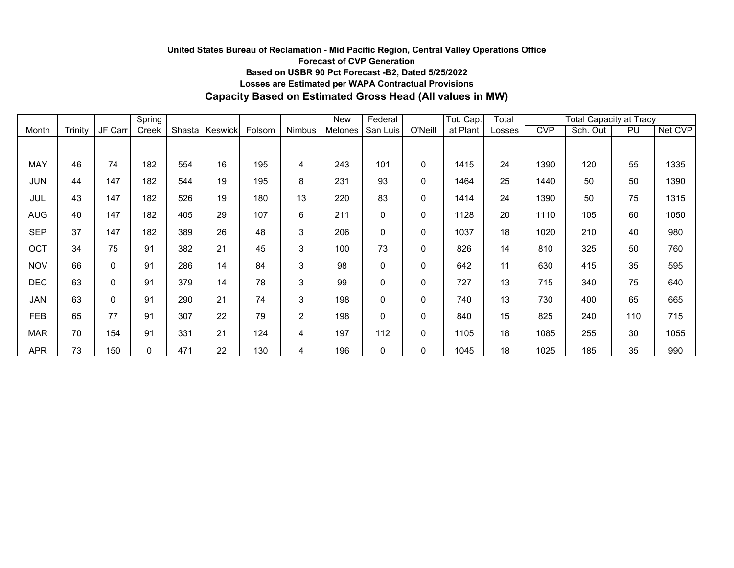## **United States Bureau of Reclamation - Mid Pacific Region, Central Valley Operations Office Forecast of CVP Generation Based on USBR 90 Pct Forecast -B2, Dated 5/25/2022 Losses are Estimated per WAPA Contractual Provisions Capacity Based on Estimated Gross Head (All values in MW)**

|            |         |             | Spring |        |         |        |                | New     | Federal  |         | Tot. Cap. | Total  | <b>Total Capacity at Tracy</b> |          |     |         |
|------------|---------|-------------|--------|--------|---------|--------|----------------|---------|----------|---------|-----------|--------|--------------------------------|----------|-----|---------|
| Month      | Trinity | JF Carr     | Creek  | Shasta | Keswick | Folsom | Nimbus         | Melones | San Luis | O'Neill | at Plant  | Losses | <b>CVP</b>                     | Sch. Out | PU  | Net CVP |
|            |         |             |        |        |         |        |                |         |          |         |           |        |                                |          |     |         |
| <b>MAY</b> | 46      | 74          | 182    | 554    | 16      | 195    | 4              | 243     | 101      | 0       | 1415      | 24     | 1390                           | 120      | 55  | 1335    |
| <b>JUN</b> | 44      | 147         | 182    | 544    | 19      | 195    | 8              | 231     | 93       | 0       | 1464      | 25     | 1440                           | 50       | 50  | 1390    |
| JUL        | 43      | 147         | 182    | 526    | 19      | 180    | 13             | 220     | 83       | 0       | 1414      | 24     | 1390                           | 50       | 75  | 1315    |
| <b>AUG</b> | 40      | 147         | 182    | 405    | 29      | 107    | 6              | 211     | 0        | 0       | 1128      | 20     | 1110                           | 105      | 60  | 1050    |
| <b>SEP</b> | 37      | 147         | 182    | 389    | 26      | 48     | 3              | 206     | 0        | 0       | 1037      | 18     | 1020                           | 210      | 40  | 980     |
| OCT        | 34      | 75          | 91     | 382    | 21      | 45     | 3              | 100     | 73       | 0       | 826       | 14     | 810                            | 325      | 50  | 760     |
| <b>NOV</b> | 66      | $\mathbf 0$ | 91     | 286    | 14      | 84     | 3              | 98      | 0        | 0       | 642       | 11     | 630                            | 415      | 35  | 595     |
| <b>DEC</b> | 63      | 0           | 91     | 379    | 14      | 78     | 3              | 99      | 0        | 0       | 727       | 13     | 715                            | 340      | 75  | 640     |
| <b>JAN</b> | 63      | 0           | 91     | 290    | 21      | 74     | 3              | 198     | 0        | 0       | 740       | 13     | 730                            | 400      | 65  | 665     |
| <b>FEB</b> | 65      | 77          | 91     | 307    | 22      | 79     | $\overline{2}$ | 198     | 0        | 0       | 840       | 15     | 825                            | 240      | 110 | 715     |
| <b>MAR</b> | 70      | 154         | 91     | 331    | 21      | 124    | $\overline{4}$ | 197     | 112      | 0       | 1105      | 18     | 1085                           | 255      | 30  | 1055    |
| <b>APR</b> | 73      | 150         | 0      | 471    | 22      | 130    | 4              | 196     | 0        | 0       | 1045      | 18     | 1025                           | 185      | 35  | 990     |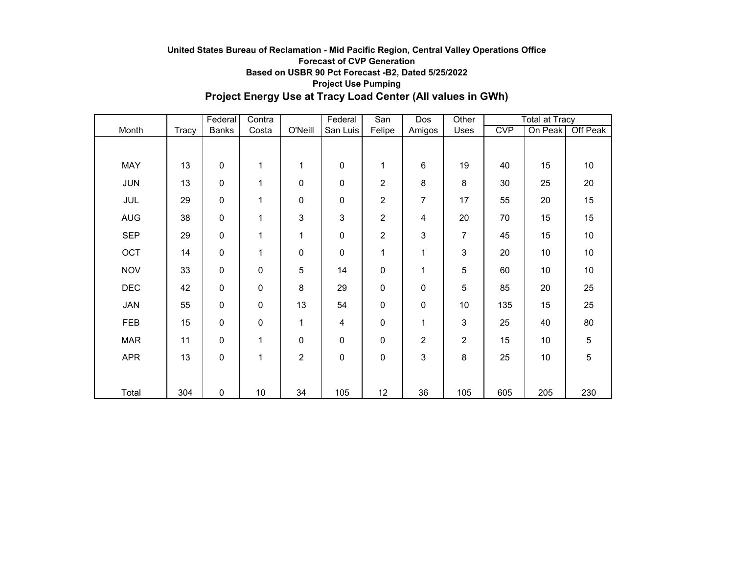## **United States Bureau of Reclamation - Mid Pacific Region, Central Valley Operations Office Forecast of CVP Generation Based on USBR 90 Pct Forecast -B2, Dated 5/25/2022 Project Use Pumping Project Energy Use at Tracy Load Center (All values in GWh)**

|            |       | Federal      | Contra |                | Federal        | San            | Dos            | Other          |     | <b>Total at Tracy</b> |                 |  |
|------------|-------|--------------|--------|----------------|----------------|----------------|----------------|----------------|-----|-----------------------|-----------------|--|
| Month      | Tracy | <b>Banks</b> | Costa  | O'Neill        | San Luis       | Felipe         | Amigos         | Uses           | CVP | On Peak               | Off Peak        |  |
|            |       |              |        |                |                |                |                |                |     |                       |                 |  |
| MAY        | 13    | $\pmb{0}$    | 1      | 1              | 0              | 1              | 6              | 19             | 40  | 15                    | 10              |  |
| <b>JUN</b> | 13    | $\pmb{0}$    | 1      | 0              | 0              | 2              | 8              | 8              | 30  | 25                    | 20              |  |
| JUL        | 29    | $\pmb{0}$    | 1      | 0              | 0              | $\overline{c}$ | $\overline{7}$ | 17             | 55  | 20                    | 15              |  |
| <b>AUG</b> | 38    | $\pmb{0}$    | 1      | 3              | 3              | $\overline{c}$ | 4              | 20             | 70  | 15                    | 15              |  |
| <b>SEP</b> | 29    | $\pmb{0}$    | 1      | 1              | 0              | $\overline{c}$ | 3              | $\overline{7}$ | 45  | 15                    | 10 <sub>1</sub> |  |
| OCT        | 14    | $\pmb{0}$    | 1      | 0              | 0              | 1              | 1              | $\mathfrak{S}$ | 20  | 10                    | 10              |  |
| <b>NOV</b> | 33    | $\pmb{0}$    | 0      | 5              | 14             | 0              | 1              | 5              | 60  | 10                    | 10              |  |
| <b>DEC</b> | 42    | $\pmb{0}$    | 0      | 8              | 29             | $\mathbf 0$    | $\pmb{0}$      | 5              | 85  | 20                    | 25              |  |
| <b>JAN</b> | 55    | $\pmb{0}$    | 0      | 13             | 54             | $\pmb{0}$      | $\pmb{0}$      | 10             | 135 | 15                    | 25              |  |
| FEB        | 15    | $\pmb{0}$    | 0      | 1              | $\overline{4}$ | $\pmb{0}$      | 1              | $\mathfrak{S}$ | 25  | 40                    | 80              |  |
| <b>MAR</b> | 11    | $\pmb{0}$    | 1      | 0              | 0              | $\mathbf 0$    | $\overline{c}$ | $\overline{2}$ | 15  | 10                    | 5               |  |
| <b>APR</b> | 13    | $\pmb{0}$    | 1      | $\overline{c}$ | 0              | 0              | 3              | 8              | 25  | 10                    | 5               |  |
|            |       |              |        |                |                |                |                |                |     |                       |                 |  |
| Total      | 304   | 0            | 10     | 34             | 105            | 12             | 36             | 105            | 605 | 205                   | 230             |  |